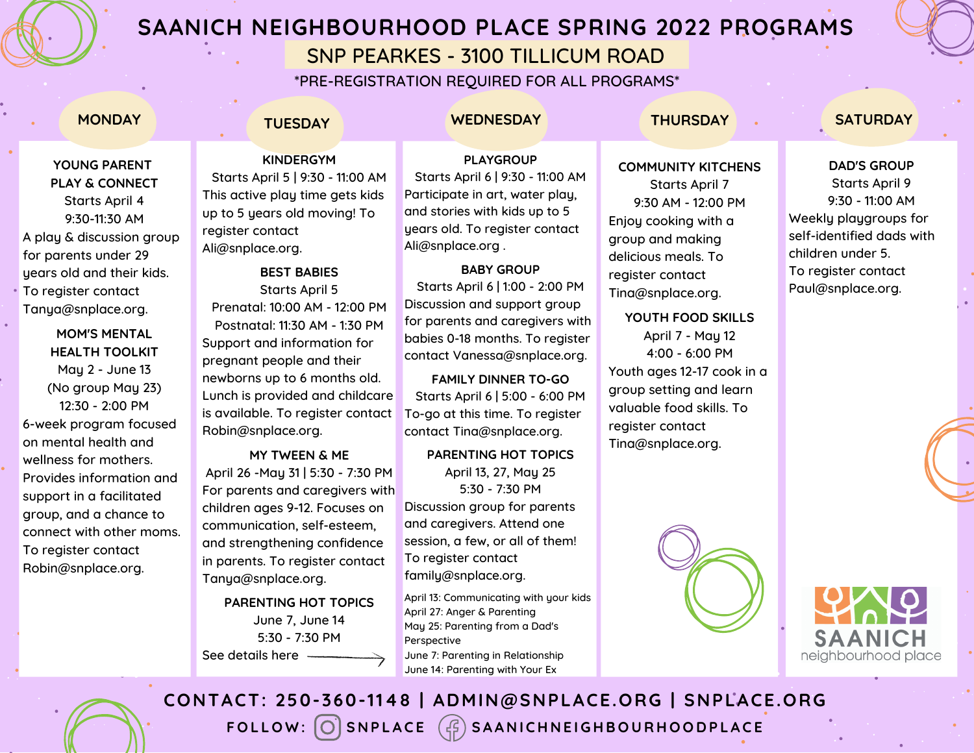

# **SAANICH NEIGHBOURHOOD PLACE SPRING 2022 PROGRAMS**

# SNP PEARKES - 3100 TILLICUM ROAD

\*PRE-REGISTRATION REQUIRED FOR ALL PROGRAMS\*

## **YOUNG PARENT PLAY & CONNECT** Starts April 4 9:30-11:30 AM A play & discussion group for parents under 29 years old and their kids. To register contact Tanya@snplace.org.

**MOM'S MENTAL HEALTH TOOLKIT** May 2 - June 13 (No group May 23) 12:30 - 2:00 PM 6-week program focused on mental health and wellness for mothers. Provides information and support in a facilitated group, and a chance to connect with other moms. To register contact Robin@snplace.org.

## **MONDAY TUESDAY WEDNESDAY THURSDAY SATURDAY**

**PLAYGROUP** Starts April 6 | 9:30 - 11:00 AM Participate in art, water play, and stories with kids up to 5

### **COMMUNITY KITCHENS**

Starts April 7 9:30 AM - 12:00 PM Enjoy cooking with a group and making delicious meals. To register contact Tina@snplace.org.

**YOUTH FOOD SKILLS** April 7 - May 12 4:00 - 6:00 PM Youth ages 12-17 cook in a group setting and learn valuable food skills. To register contact Tina@snplace.org.



### **DAD'S GROUP**

Starts April 9 9:30 - 11:00 AM Weekly playgroups for self-identified dads with children under 5. To register contact [Paul@snplace.org.](mailto:Paul@snplace.org)

## **KINDERGYM** Starts April 5 | 9:30 - 11:00 AM

This active play time gets kids up to 5 years old moving! To register contact Ali@snplace.org.

## **BEST BABIES**

Starts April 5 Prenatal: 10:00 AM - 12:00 PM Postnatal: 11:30 AM - 1:30 PM Support and information for pregnant people and their newborns up to 6 months old. Lunch is provided and childcare is available. To register contact Robin@snplace.org.

### **MY TWEEN & ME**

April 26 -May 31 | 5:30 - 7:30 PM For parents and caregivers with children ages 9-12. Focuses on communication, self-esteem, and strengthening confidence in parents. To register contact Tanya@snplace.org.

**PARENTING HOT TOPICS** June 7, June 14 5:30 - 7:30 PM See details here

years old. To register contact Ali@snplace.org . **BABY GROUP** Starts April 6 | 1:00 - 2:00 PM Discussion and support group for parents and caregivers with babies 0-18 months. To register

contact Vanessa@snplace.org. **FAMILY DINNER TO-GO** Starts April 6 | 5:00 - 6:00 PM

To-go at this time. To register contact Tina@snplace.org.

**PARENTING HOT TOPICS** April 13, 27, May 25 5:30 - 7:30 PM Discussion group for parents and caregivers. Attend one session, a few, or all of them! To register contact family@snplace.org.

April 13: Communicating with your kids April 27: Anger & Parenting May 25: Parenting from a Dad's Perspective June 7: Parenting in Relationship June 14: Parenting with Your Ex



FOLLOW: O SNPLACE  $(\text{G})$  SAANICHNEIGHBOURHOODPLACE **CONTACT: 250-360-1148 | ADMIN@SNPLACE.ORG | SNPLACE.ORG**